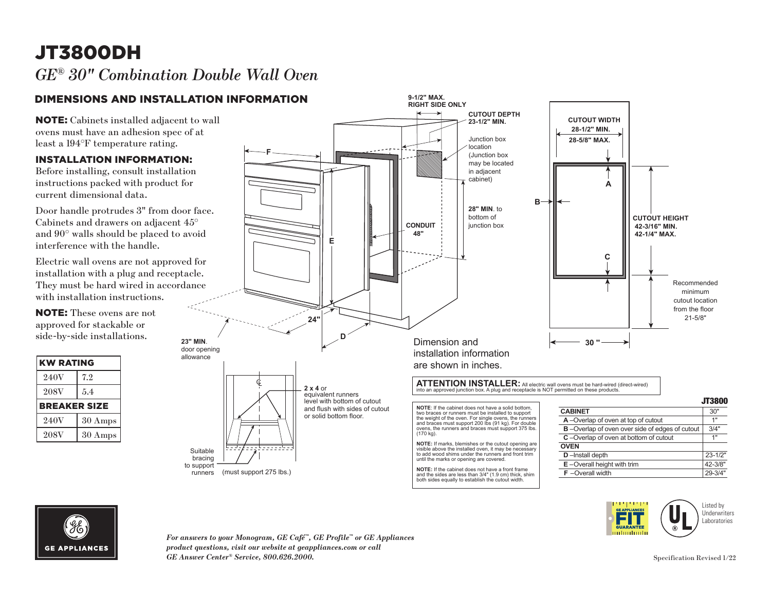## JT3800DH *GE® 30" Combination Double Wall Oven*

### DIMENSIONS AND INSTALLATION INFORMATION

NOTE: Cabinets installed adjacent to wall ovens must have an adhesion spec of at least a 194°F temperature rating.

#### INSTALLATION INFORMATION:

Before installing, consult installation instructions packed with product for current dimensional data.

Door handle protrudes 3" from door face. Cabinets and drawers on adjacent 45° and 90° walls should be placed to avoid interference with the handle.

Electric wall ovens are not approved for installation with a plug and receptacle. They must be hard wired in accordance with installation instructions.

NOTE: These ovens are not approved for stackable or side-by-side installations.

| <b>KW RATING</b>    |                   |
|---------------------|-------------------|
| 240V                | 7.2               |
| 208V                | 5.4               |
| <b>BREAKER SIZE</b> |                   |
| 240V                | $30 \text{ Amps}$ |
| 208V                | 30 Amps           |



both sides equally to establish the cutout width.



*For answers to your Monogram, GE Café™, GE Profile™ or GE Appliances product questions, visit our website at geappliances.com or call GE Answer Center® Service, 800.626.2000.*

Fh milimilimili Listed by **Underwriters** Laboratories